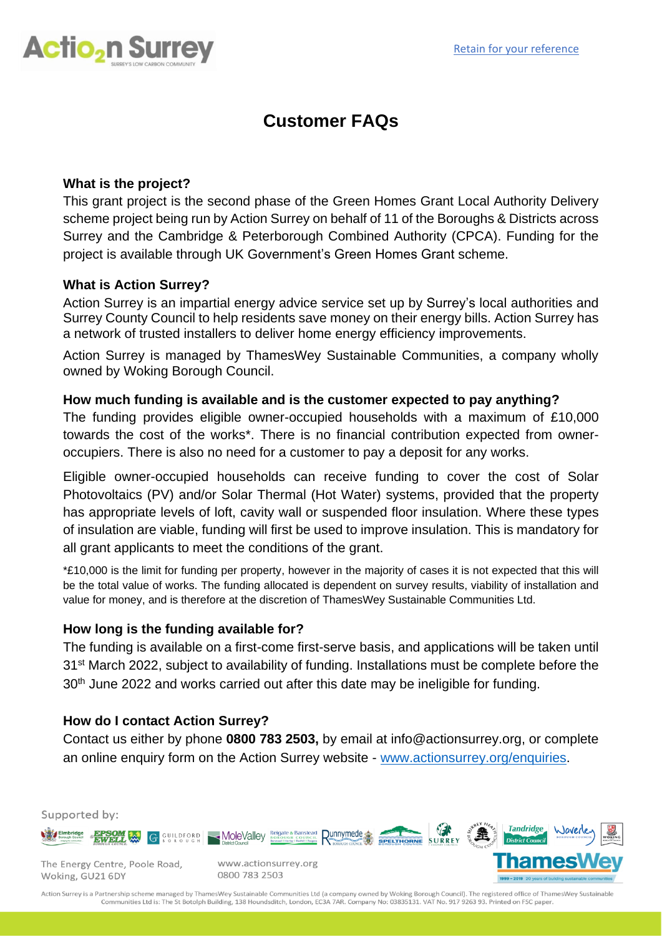

# **Customer FAQs**

# **What is the project?**

This grant project is the second phase of the Green Homes Grant Local Authority Delivery scheme project being run by Action Surrey on behalf of 11 of the Boroughs & Districts across Surrey and the Cambridge & Peterborough Combined Authority (CPCA). Funding for the project is available through UK Government's Green Homes Grant scheme.

# **What is Action Surrey?**

Action Surrey is an impartial energy advice service set up by Surrey's local authorities and Surrey County Council to help residents save money on their energy bills. Action Surrey has a network of trusted installers to deliver home energy efficiency improvements.

Action Surrey is managed by ThamesWey Sustainable Communities, a company wholly owned by Woking Borough Council.

# **How much funding is available and is the customer expected to pay anything?**

The funding provides eligible owner-occupied households with a maximum of £10,000 towards the cost of the works\*. There is no financial contribution expected from owneroccupiers. There is also no need for a customer to pay a deposit for any works.

Eligible owner-occupied households can receive funding to cover the cost of Solar Photovoltaics (PV) and/or Solar Thermal (Hot Water) systems, provided that the property has appropriate levels of loft, cavity wall or suspended floor insulation. Where these types of insulation are viable, funding will first be used to improve insulation. This is mandatory for all grant applicants to meet the conditions of the grant.

\*£10,000 is the limit for funding per property, however in the majority of cases it is not expected that this will be the total value of works. The funding allocated is dependent on survey results, viability of installation and value for money, and is therefore at the discretion of ThamesWey Sustainable Communities Ltd.

## **How long is the funding available for?**

The funding is available on a first-come first-serve basis, and applications will be taken until 31<sup>st</sup> March 2022, subject to availability of funding. Installations must be complete before the 30<sup>th</sup> June 2022 and works carried out after this date may be ineligible for funding.

# **How do I contact Action Surrey?**

Contact us either by phone **0800 783 2503,** by email at info@actionsurrey.org, or complete an online enquiry form on the Action Surrey website - [www.actionsurrey.org/enquiries.](http://www.actionsurrey.org/enquiries)

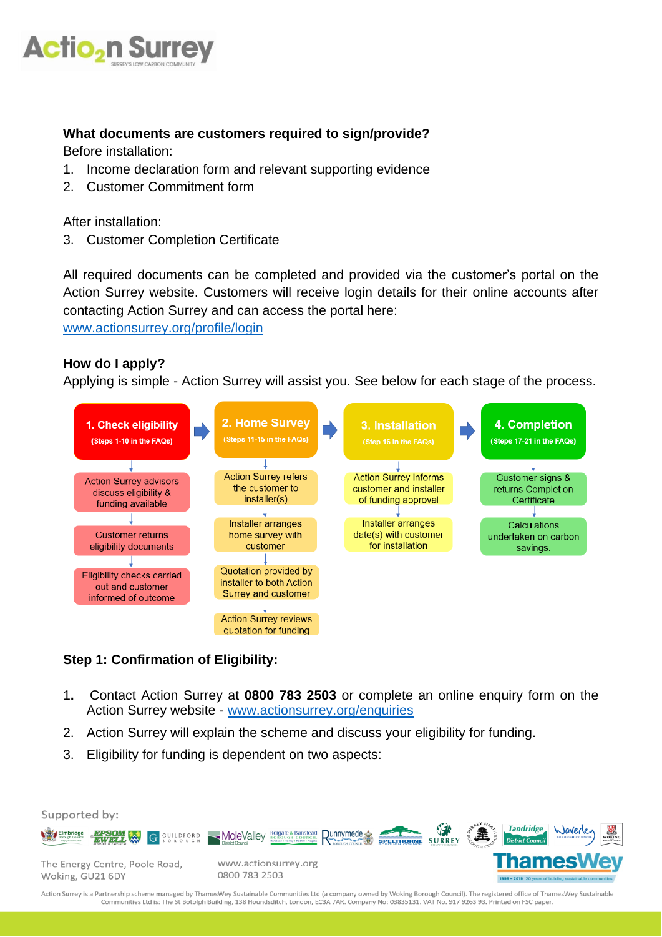

## **What documents are customers required to sign/provide?**

Before installation:

- 1. Income declaration form and relevant supporting evidence
- 2. Customer Commitment form

After installation:

3. Customer Completion Certificate

All required documents can be completed and provided via the customer's portal on the Action Surrey website. Customers will receive login details for their online accounts after contacting Action Surrey and can access the portal here:

[www.actionsurrey.org/profile/login](http://www.actionsurrey.org/profile/login)

## **How do I apply?**

Applying is simple - Action Surrey will assist you. See below for each stage of the process.



# **Step 1: Confirmation of Eligibility:**

- 1**.** Contact Action Surrey at **0800 783 2503** or complete an online enquiry form on the Action Surrey website - [www.actionsurrey.org/enquiries](http://www.actionsurrey.org/enquiries)
- 2. Action Surrey will explain the scheme and discuss your eligibility for funding.
- 3. Eligibility for funding is dependent on two aspects:

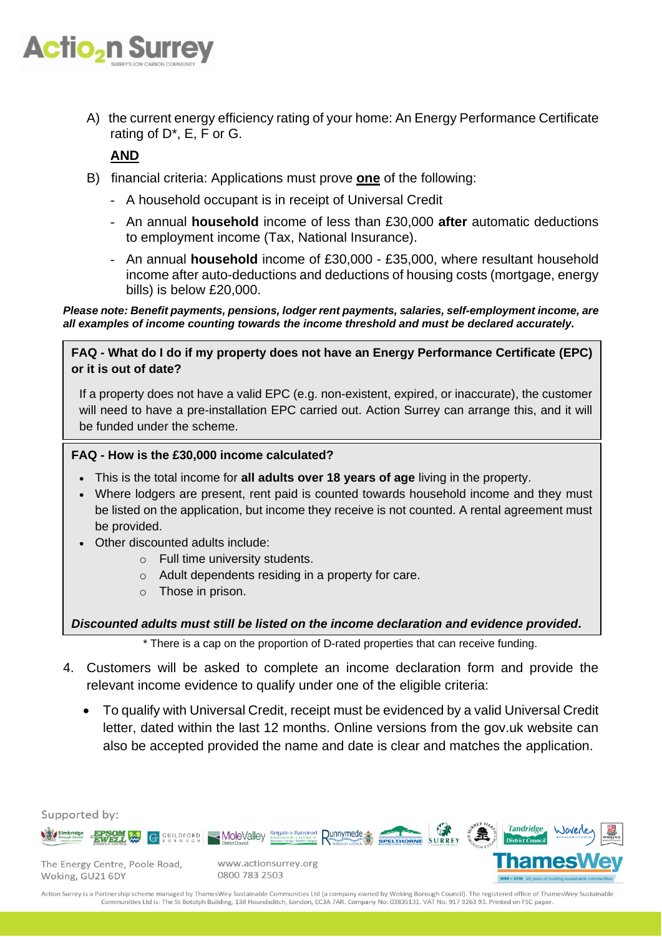

A) the current energy efficiency rating of your home: An Energy Performance Certificate rating of D\*, E, F or G.

**AND**

- B) financial criteria: Applications must prove **one** of the following:
	- A household occupant is in receipt of Universal Credit
	- An annual **household** income of less than £30,000 **after** automatic deductions to employment income (Tax, National Insurance).
	- An annual **household** income of £30,000 £35,000, where resultant household income after auto-deductions and deductions of housing costs (mortgage, energy bills) is below £20,000.

*Please note: Benefit payments, pensions, lodger rent payments, salaries, self-employment income, are all examples of income counting towards the income threshold and must be declared accurately.*

**FAQ - What do I do if my property does not have an Energy Performance Certificate (EPC) or it is out of date?**

If a property does not have a valid EPC (e.g. non-existent, expired, or inaccurate), the customer will need to have a pre-installation EPC carried out. Action Surrey can arrange this, and it will be funded under the scheme.

#### **FAQ - How is the £30,000 income calculated?**

- This is the total income for **all adults over 18 years of age** living in the property.
- Where lodgers are present, rent paid is counted towards household income and they must be listed on the application, but income they receive is not counted. A rental agreement must be provided.
- Other discounted adults include:
	- o Full time university students.
	- o Adult dependents residing in a property for care.
	- o Those in prison.

#### *Discounted adults must still be listed on the income declaration and evidence provided.*

\* There is a cap on the proportion of D-rated properties that can receive funding.

- 4. Customers will be asked to complete an income declaration form and provide the relevant income evidence to qualify under one of the eligible criteria:
	- To qualify with Universal Credit, receipt must be evidenced by a valid Universal Credit letter, dated within the last 12 months. Online versions from the gov.uk website can also be accepted provided the name and date is clear and matches the application.

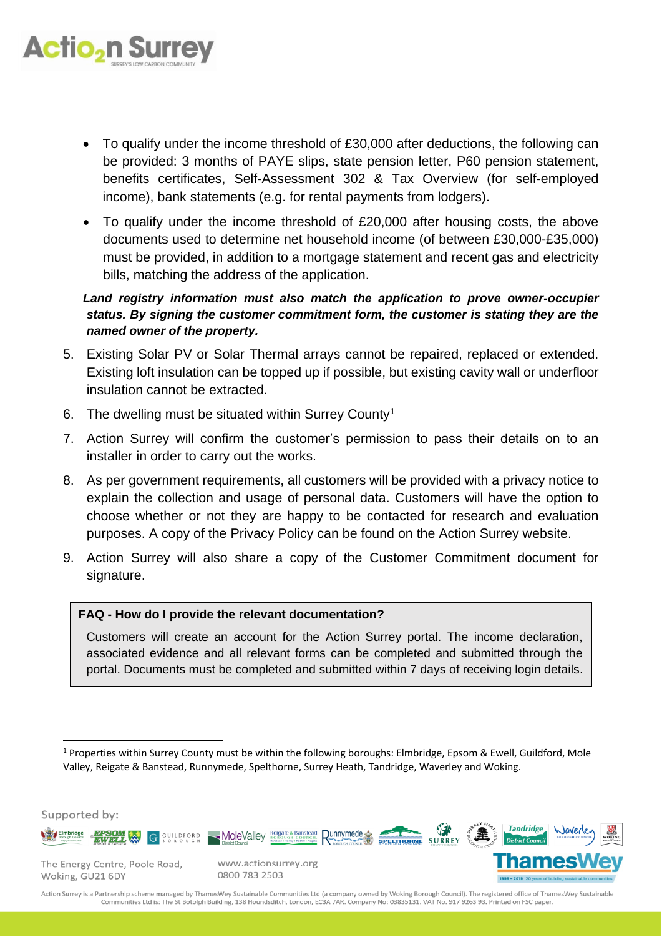

- To qualify under the income threshold of £30,000 after deductions, the following can be provided: 3 months of PAYE slips, state pension letter, P60 pension statement, benefits certificates, Self-Assessment 302 & Tax Overview (for self-employed income), bank statements (e.g. for rental payments from lodgers).
- To qualify under the income threshold of £20,000 after housing costs, the above documents used to determine net household income (of between £30,000-£35,000) must be provided, in addition to a mortgage statement and recent gas and electricity bills, matching the address of the application.

# *Land registry information must also match the application to prove owner-occupier status. By signing the customer commitment form, the customer is stating they are the named owner of the property.*

- 5. Existing Solar PV or Solar Thermal arrays cannot be repaired, replaced or extended. Existing loft insulation can be topped up if possible, but existing cavity wall or underfloor insulation cannot be extracted.
- 6. The dwelling must be situated within Surrey County<sup>1</sup>
- 7. Action Surrey will confirm the customer's permission to pass their details on to an installer in order to carry out the works.
- 8. As per government requirements, all customers will be provided with a privacy notice to explain the collection and usage of personal data. Customers will have the option to choose whether or not they are happy to be contacted for research and evaluation purposes. A copy of the Privacy Policy can be found on the Action Surrey website.
- 9. Action Surrey will also share a copy of the Customer Commitment document for signature.

## **FAQ - How do I provide the relevant documentation?**

Customers will create an account for the Action Surrey portal. The income declaration, associated evidence and all relevant forms can be completed and submitted through the portal. Documents must be completed and submitted within 7 days of receiving login details.

 $1$  Properties within Surrey County must be within the following boroughs: Elmbridge, Epsom & Ewell, Guildford, Mole Valley, Reigate & Banstead, Runnymede, Spelthorne, Surrey Heath, Tandridge, Waverley and Woking.

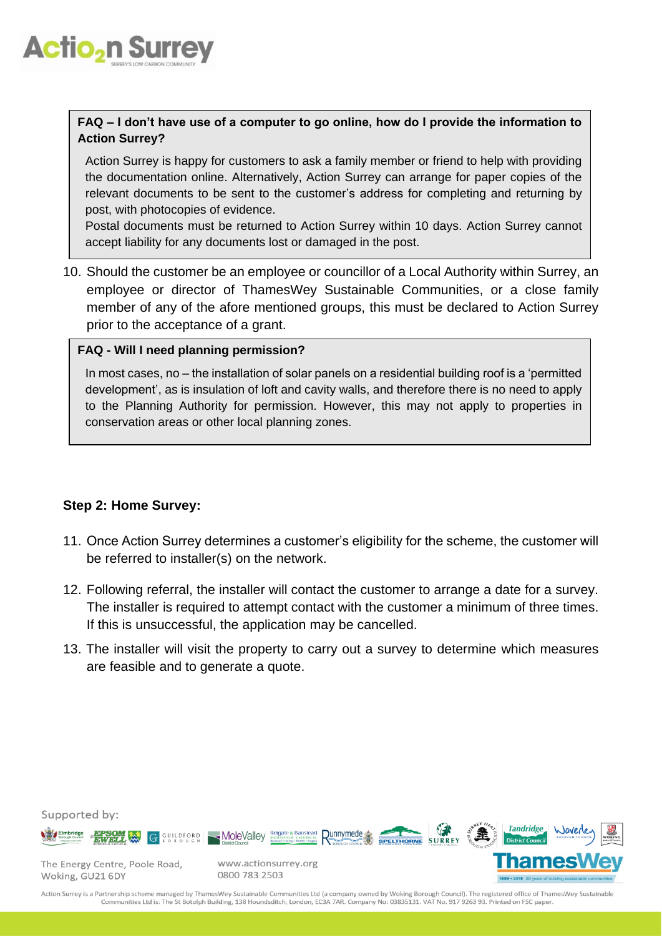

## **FAQ – I don't have use of a computer to go online, how do I provide the information to Action Surrey?**

Action Surrey is happy for customers to ask a family member or friend to help with providing the documentation online. Alternatively, Action Surrey can arrange for paper copies of the relevant documents to be sent to the customer's address for completing and returning by post, with photocopies of evidence.

Postal documents must be returned to Action Surrey within 10 days. Action Surrey cannot accept liability for any documents lost or damaged in the post.

10. Should the customer be an employee or councillor of a Local Authority within Surrey, an employee or director of ThamesWey Sustainable Communities, or a close family member of any of the afore mentioned groups, this must be declared to Action Surrey prior to the acceptance of a grant.

#### **FAQ - Will I need planning permission?**

In most cases, no – the installation of solar panels on a residential building roof is a 'permitted development', as is insulation of loft and cavity walls, and therefore there is no need to apply to the Planning Authority for permission. However, this may not apply to properties in conservation areas or other local planning zones.

## **Step 2: Home Survey:**

- 11. Once Action Surrey determines a customer's eligibility for the scheme, the customer will be referred to installer(s) on the network.
- 12. Following referral, the installer will contact the customer to arrange a date for a survey. The installer is required to attempt contact with the customer a minimum of three times. If this is unsuccessful, the application may be cancelled.
- 13. The installer will visit the property to carry out a survey to determine which measures are feasible and to generate a quote.

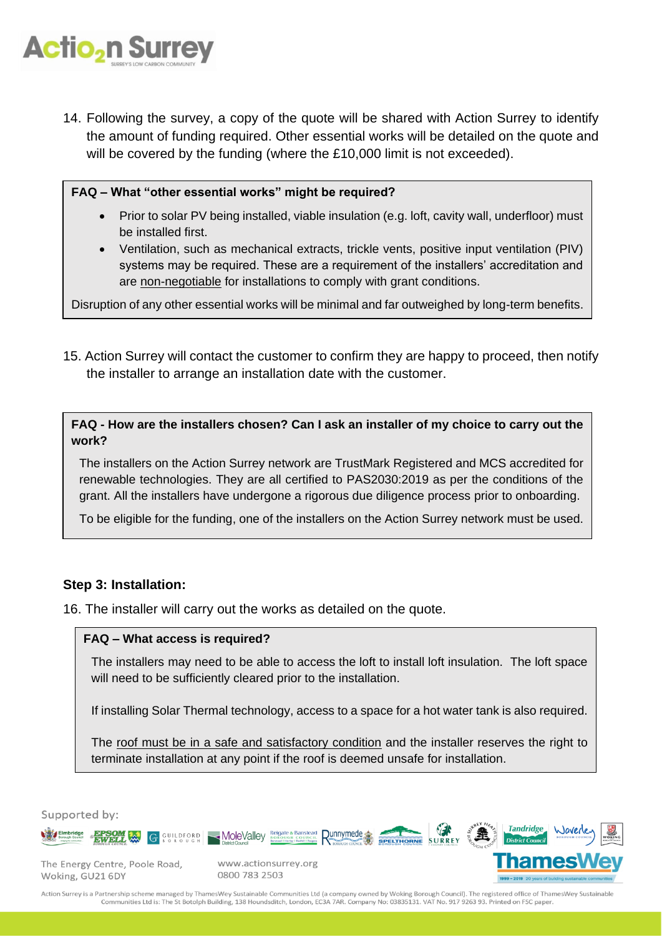

14. Following the survey, a copy of the quote will be shared with Action Surrey to identify the amount of funding required. Other essential works will be detailed on the quote and will be covered by the funding (where the £10,000 limit is not exceeded).

#### **FAQ – What "other essential works" might be required?**

- Prior to solar PV being installed, viable insulation (e.g. loft, cavity wall, underfloor) must be installed first.
- Ventilation, such as mechanical extracts, trickle vents, positive input ventilation (PIV) systems may be required. These are a requirement of the installers' accreditation and are non-negotiable for installations to comply with grant conditions.

Disruption of any other essential works will be minimal and far outweighed by long-term benefits.

15. Action Surrey will contact the customer to confirm they are happy to proceed, then notify the installer to arrange an installation date with the customer.

**FAQ - How are the installers chosen? Can I ask an installer of my choice to carry out the work?**

The installers on the Action Surrey network are TrustMark Registered and MCS accredited for renewable technologies. They are all certified to PAS2030:2019 as per the conditions of the grant. All the installers have undergone a rigorous due diligence process prior to onboarding.

To be eligible for the funding, one of the installers on the Action Surrey network must be used.

## **Step 3: Installation:**

16. The installer will carry out the works as detailed on the quote.

#### **FAQ – What access is required?**

The installers may need to be able to access the loft to install loft insulation. The loft space will need to be sufficiently cleared prior to the installation.

If installing Solar Thermal technology, access to a space for a hot water tank is also required.

The roof must be in a safe and satisfactory condition and the installer reserves the right to terminate installation at any point if the roof is deemed unsafe for installation.

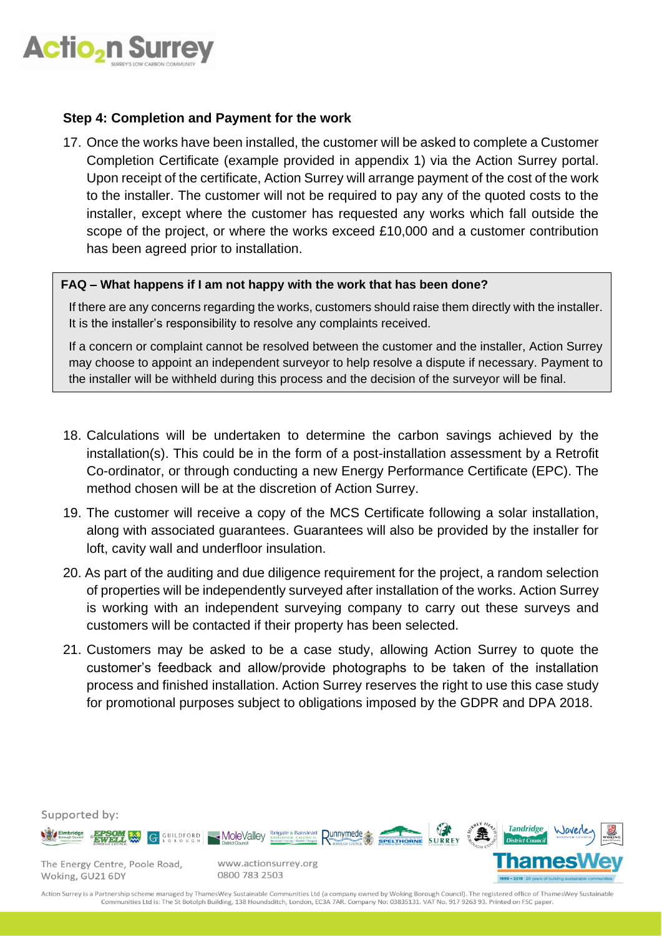

# **Step 4: Completion and Payment for the work**

17. Once the works have been installed, the customer will be asked to complete a Customer Completion Certificate (example provided in appendix 1) via the Action Surrey portal. Upon receipt of the certificate, Action Surrey will arrange payment of the cost of the work to the installer. The customer will not be required to pay any of the quoted costs to the installer, except where the customer has requested any works which fall outside the scope of the project, or where the works exceed £10,000 and a customer contribution has been agreed prior to installation.

#### **FAQ – What happens if I am not happy with the work that has been done?**

If there are any concerns regarding the works, customers should raise them directly with the installer. It is the installer's responsibility to resolve any complaints received.

If a concern or complaint cannot be resolved between the customer and the installer, Action Surrey may choose to appoint an independent surveyor to help resolve a dispute if necessary. Payment to the installer will be withheld during this process and the decision of the surveyor will be final.

- 18. Calculations will be undertaken to determine the carbon savings achieved by the installation(s). This could be in the form of a post-installation assessment by a Retrofit Co-ordinator, or through conducting a new Energy Performance Certificate (EPC). The method chosen will be at the discretion of Action Surrey.
- 19. The customer will receive a copy of the MCS Certificate following a solar installation, along with associated guarantees. Guarantees will also be provided by the installer for loft, cavity wall and underfloor insulation.
- 20. As part of the auditing and due diligence requirement for the project, a random selection of properties will be independently surveyed after installation of the works. Action Surrey is working with an independent surveying company to carry out these surveys and customers will be contacted if their property has been selected.
- 21. Customers may be asked to be a case study, allowing Action Surrey to quote the customer's feedback and allow/provide photographs to be taken of the installation process and finished installation. Action Surrey reserves the right to use this case study for promotional purposes subject to obligations imposed by the GDPR and DPA 2018.

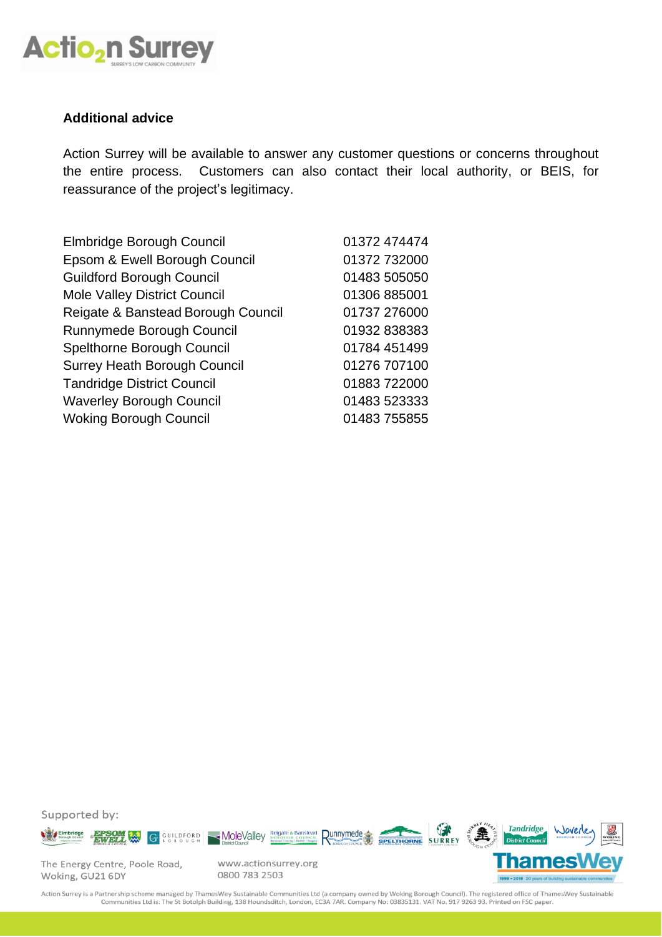

## **Additional advice**

Action Surrey will be available to answer any customer questions or concerns throughout the entire process. Customers can also contact their local authority, or BEIS, for reassurance of the project's legitimacy.

| Elmbridge Borough Council           | 01372 474474 |
|-------------------------------------|--------------|
| Epsom & Ewell Borough Council       | 01372 732000 |
| <b>Guildford Borough Council</b>    | 01483 505050 |
| <b>Mole Valley District Council</b> | 01306 885001 |
| Reigate & Banstead Borough Council  | 01737 276000 |
| Runnymede Borough Council           | 01932 838383 |
| Spelthorne Borough Council          | 01784 451499 |
| <b>Surrey Heath Borough Council</b> | 01276 707100 |
| <b>Tandridge District Council</b>   | 01883 722000 |
| <b>Waverley Borough Council</b>     | 01483 523333 |
| <b>Woking Borough Council</b>       | 01483 755855 |



The Energy Centre, Poole Road, Woking, GU21 6DY

www.actionsurrey.org 0800 783 2503

Action Surrey is a Partnership scheme managed by ThamesWey Sustainable Communities Ltd (a company owned by Woking Borough Council). The registered office of ThamesWey Sustainable Communities Ltd is: The St Botolph Building, 138 Houndsditch, London, EC3A 7AR. Company No: 03835131. VAT No. 917 9263 93. Printed on FSC paper.

 $1999 - 2019$  2